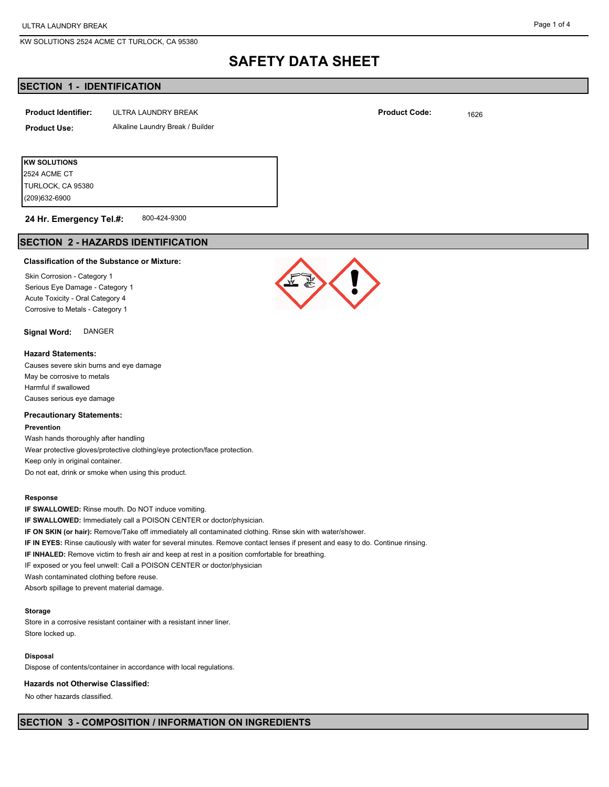# **SAFETY DATA SHEET**

## **SECTION 1 - IDENTIFICATION**

| <b>Product Identifier:</b> | ULTRA LAUNDRY BREAK              | <b>Product Code:</b> | 1626 |
|----------------------------|----------------------------------|----------------------|------|
| <b>Product Use:</b>        | Alkaline Laundry Break / Builder |                      |      |
|                            |                                  |                      |      |

**KW SOLUTIONS** (209)632-6900 TURLOCK, CA 95380 2524 ACME CT

800-424-9300 **24 Hr. Emergency Tel.#:**

## **SECTION 2 - HAZARDS IDENTIFICATION**

#### **Classification of the Substance or Mixture:**

Skin Corrosion - Category 1 Serious Eye Damage - Category 1 Acute Toxicity - Oral Category 4 Corrosive to Metals - Category 1

## **Signal Word:** DANGER

#### **Hazard Statements:**

Causes severe skin burns and eye damage May be corrosive to metals Harmful if swallowed Causes serious eye damage

#### **Precautionary Statements:**

#### **Prevention**

Wash hands thoroughly after handling Wear protective gloves/protective clothing/eye protection/face protection. Keep only in original container. Do not eat, drink or smoke when using this product.

#### **Response**

**IF SWALLOWED:** Rinse mouth. Do NOT induce vomiting. **IF SWALLOWED:** Immediately call a POISON CENTER or doctor/physician. **IF ON SKIN (or hair):** Remove/Take off immediately all contaminated clothing. Rinse skin with water/shower. **IF IN EYES:** Rinse cautiously with water for several minutes. Remove contact lenses if present and easy to do. Continue rinsing. **IF INHALED:** Remove victim to fresh air and keep at rest in a position comfortable for breathing. IF exposed or you feel unwell: Call a POISON CENTER or doctor/physician Wash contaminated clothing before reuse. Absorb spillage to prevent material damage.

### **Storage**

Store in a corrosive resistant container with a resistant inner liner. Store locked up.

## **Disposal**

Dispose of contents/container in accordance with local regulations.

#### **Hazards not Otherwise Classified:**

No other hazards classified.

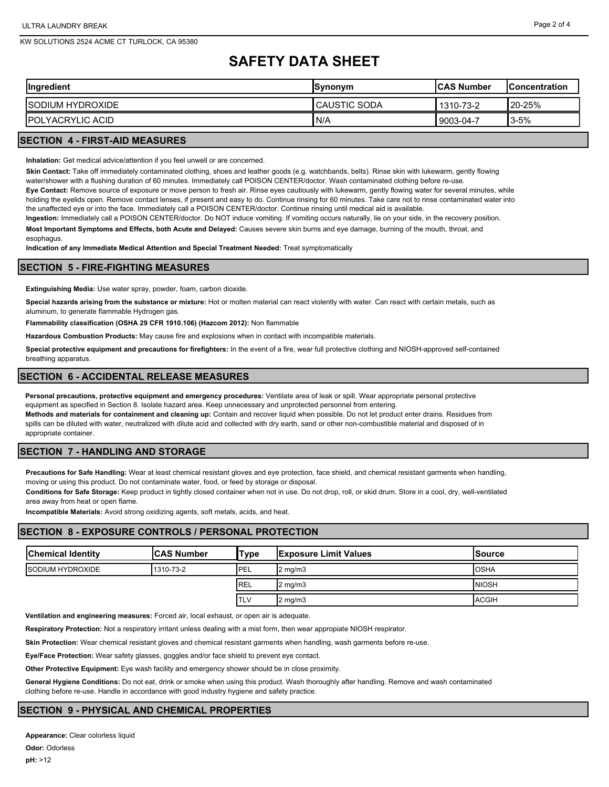# **SAFETY DATA SHEET**

| <b>Ingredient</b>        | <b>Synonym</b>       | <b>ICAS Number</b> | <b>Concentration</b> |
|--------------------------|----------------------|--------------------|----------------------|
| <b>ISODIUM HYDROXIDE</b> | <b>ICAUSTIC SODA</b> | 1310-73-2          | 20-25%               |
| <b>IPOLYACRYLIC ACID</b> | N/A                  | 9003-04-7          | $3 - 5%$             |
| ______________________   |                      |                    |                      |

## **SECTION 4 - FIRST-AID MEASURES**

**Inhalation:** Get medical advice/attention if you feel unwell or are concerned.

**Skin Contact:** Take off immediately contaminated clothing, shoes and leather goods (e.g. watchbands, belts). Rinse skin with lukewarm, gently flowing water/shower with a flushing duration of 60 minutes. Immediately call POISON CENTER/doctor. Wash contaminated clothing before re-use.

**Eye Contact:** Remove source of exposure or move person to fresh air. Rinse eyes cautiously with lukewarm, gently flowing water for several minutes, while holding the eyelids open. Remove contact lenses, if present and easy to do. Continue rinsing for 60 minutes. Take care not to rinse contaminated water into the unaffected eye or into the face. Immediately call a POISON CENTER/doctor. Continue rinsing until medical aid is available.

**Ingestion:** Immediately call a POISON CENTER/doctor. Do NOT induce vomiting. If vomiting occurs naturally, lie on your side, in the recovery position.

**Most Important Symptoms and Effects, both Acute and Delayed:** Causes severe skin burns and eye damage, burning of the mouth, throat, and esophagus.

**Indication of any Immediate Medical Attention and Special Treatment Needed:** Treat symptomatically

### **SECTION 5 - FIRE-FIGHTING MEASURES**

**Extinguishing Media:** Use water spray, powder, foam, carbon dioxide.

**Special hazards arising from the substance or mixture:** Hot or molten material can react violently with water. Can react with certain metals, such as aluminum, to generate flammable Hydrogen gas.

**Flammability classification (OSHA 29 CFR 1910.106) (Hazcom 2012):** Non flammable

**Hazardous Combustion Products:** May cause fire and explosions when in contact with incompatible materials.

**Special protective equipment and precautions for firefighters:** In the event of a fire, wear full protective clothing and NIOSH-approved self-contained breathing apparatus.

## **SECTION 6 - ACCIDENTAL RELEASE MEASURES**

**Personal precautions, protective equipment and emergency procedures:** Ventilate area of leak or spill. Wear appropriate personal protective equipment as specified in Section 8. Isolate hazard area. Keep unnecessary and unprotected personnel from entering. **Methods and materials for containment and cleaning up:** Contain and recover liquid when possible. Do not let product enter drains. Residues from spills can be diluted with water, neutralized with dilute acid and collected with dry earth, sand or other non-combustible material and disposed of in appropriate container.

#### **SECTION 7 - HANDLING AND STORAGE**

**Precautions for Safe Handling:** Wear at least chemical resistant gloves and eye protection, face shield, and chemical resistant garments when handling, moving or using this product. Do not contaminate water, food, or feed by storage or disposal.

**Conditions for Safe Storage:** Keep product in tightly closed container when not in use. Do not drop, roll, or skid drum. Store in a cool, dry, well-ventilated area away from heat or open flame.

**Incompatible Materials:** Avoid strong oxidizing agents, soft metals, acids, and heat.

### **SECTION 8 - EXPOSURE CONTROLS / PERSONAL PROTECTION**

| <b>Chemical Identity</b> | <b>ICAS Number</b> | 'Type      | <b>Exposure Limit Values</b> | <b>ISource</b> |
|--------------------------|--------------------|------------|------------------------------|----------------|
| <b>ISODIUM HYDROXIDE</b> | 1310-73-2          | PEL        | $2 \text{ mg/m}$             | <b>OSHA</b>    |
|                          |                    | <b>REL</b> | $2 \text{ mg/m}$             | <b>NIOSH</b>   |
|                          |                    | <b>TLV</b> | $2 \text{ mg/m}$             | <b>ACGIH</b>   |

**Ventilation and engineering measures:** Forced air, local exhaust, or open air is adequate.

**Respiratory Protection:** Not a respiratory irritant unless dealing with a mist form, then wear appropiate NIOSH respirator.

**Skin Protection:** Wear chemical resistant gloves and chemical resistant garments when handling, wash garments before re-use.

**Eye/Face Protection:** Wear safety glasses, goggles and/or face shield to prevent eye contact.

**Other Protective Equipment:** Eye wash facility and emergency shower should be in close proximity.

**General Hygiene Conditions:** Do not eat, drink or smoke when using this product. Wash thoroughly after handling. Remove and wash contaminated clothing before re-use. Handle in accordance with good industry hygiene and safety practice.

## **SECTION 9 - PHYSICAL AND CHEMICAL PROPERTIES**

**Appearance:** Clear colorless liquid **Odor:** Odorless **pH:** >12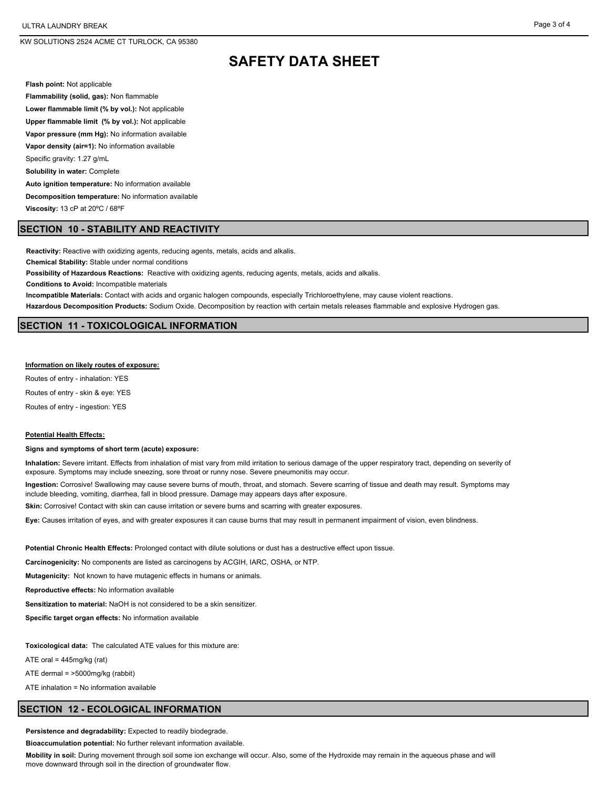# **SAFETY DATA SHEET**

**Flash point:** Not applicable

**Flammability (solid, gas):** Non flammable **Lower flammable limit (% by vol.):** Not applicable **Upper flammable limit (% by vol.):** Not applicable **Vapor pressure (mm Hg):** No information available **Vapor density (air=1):** No information available Specific gravity: 1.27 g/mL **Solubility in water:** Complete **Auto ignition temperature:** No information available **Decomposition temperature:** No information available **Viscosity:** 13 cP at 20ºC / 68ºF

## **SECTION 10 - STABILITY AND REACTIVITY**

**Reactivity:** Reactive with oxidizing agents, reducing agents, metals, acids and alkalis.

**Chemical Stability:** Stable under normal conditions

**Possibility of Hazardous Reactions:** Reactive with oxidizing agents, reducing agents, metals, acids and alkalis.

**Conditions to Avoid:** Incompatible materials

**Incompatible Materials:** Contact with acids and organic halogen compounds, especially Trichloroethylene, may cause violent reactions.

**Hazardous Decomposition Products:** Sodium Oxide. Decomposition by reaction with certain metals releases flammable and explosive Hydrogen gas.

## **SECTION 11 - TOXICOLOGICAL INFORMATION**

#### **Information on likely routes of exposure:**

Routes of entry - inhalation: YES

Routes of entry - skin & eye: YES

Routes of entry - ingestion: YES

#### **Potential Health Effects:**

**Signs and symptoms of short term (acute) exposure:**

**Inhalation:** Severe irritant. Effects from inhalation of mist vary from mild irritation to serious damage of the upper respiratory tract, depending on severity of exposure. Symptoms may include sneezing, sore throat or runny nose. Severe pneumonitis may occur.

**Ingestion:** Corrosive! Swallowing may cause severe burns of mouth, throat, and stomach. Severe scarring of tissue and death may result. Symptoms may include bleeding, vomiting, diarrhea, fall in blood pressure. Damage may appears days after exposure.

**Skin:** Corrosive! Contact with skin can cause irritation or severe burns and scarring with greater exposures.

**Eye:** Causes irritation of eyes, and with greater exposures it can cause burns that may result in permanent impairment of vision, even blindness.

**Potential Chronic Health Effects:** Prolonged contact with dilute solutions or dust has a destructive effect upon tissue.

**Carcinogenicity:** No components are listed as carcinogens by ACGIH, IARC, OSHA, or NTP.

**Mutagenicity:** Not known to have mutagenic effects in humans or animals.

**Reproductive effects:** No information available

**Sensitization to material:** NaOH is not considered to be a skin sensitizer.

**Specific target organ effects:** No information available

**Toxicological data:** The calculated ATE values for this mixture are:

ATE oral =  $445$ mg/kg (rat)

ATE dermal = >5000mg/kg (rabbit)

ATE inhalation = No information available

#### **SECTION 12 - ECOLOGICAL INFORMATION**

**Persistence and degradability:** Expected to readily biodegrade.

**Bioaccumulation potential:** No further relevant information available.

**Mobility in soil:** During movement through soil some ion exchange will occur. Also, some of the Hydroxide may remain in the aqueous phase and will move downward through soil in the direction of groundwater flow.